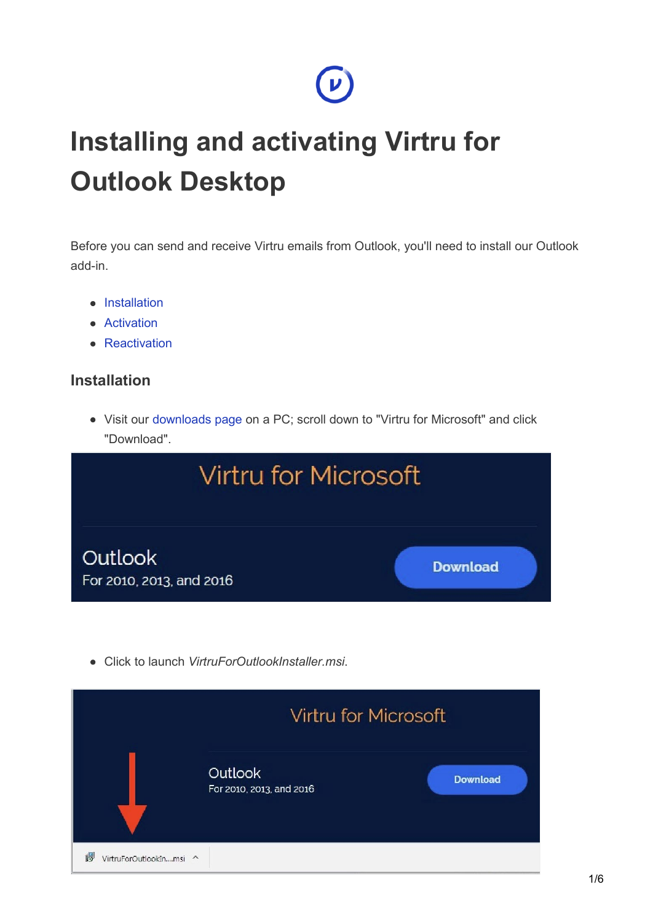## **Installing and activating Virtru for Outlook Desktop**

Before you can send and receive Virtru emails from Outlook, you'll need to install our Outlook add-in.

 $\boldsymbol{\nu}$ 

- Installation
- Activation
- Reactivation

## **Installation**

Visit our [downloads page o](https://www.virtru.com/install)n a PC; scroll down to "Virtru for Microsoft" and click "Download".



Click to launch *VirtruForOutlookInstaller.msi*.

|                              | Virtru for Microsoft                |                 |
|------------------------------|-------------------------------------|-----------------|
|                              | Outlook<br>For 2010, 2013, and 2016 | <b>Download</b> |
| 碍<br>VirtruForOutlookInmsi ^ |                                     |                 |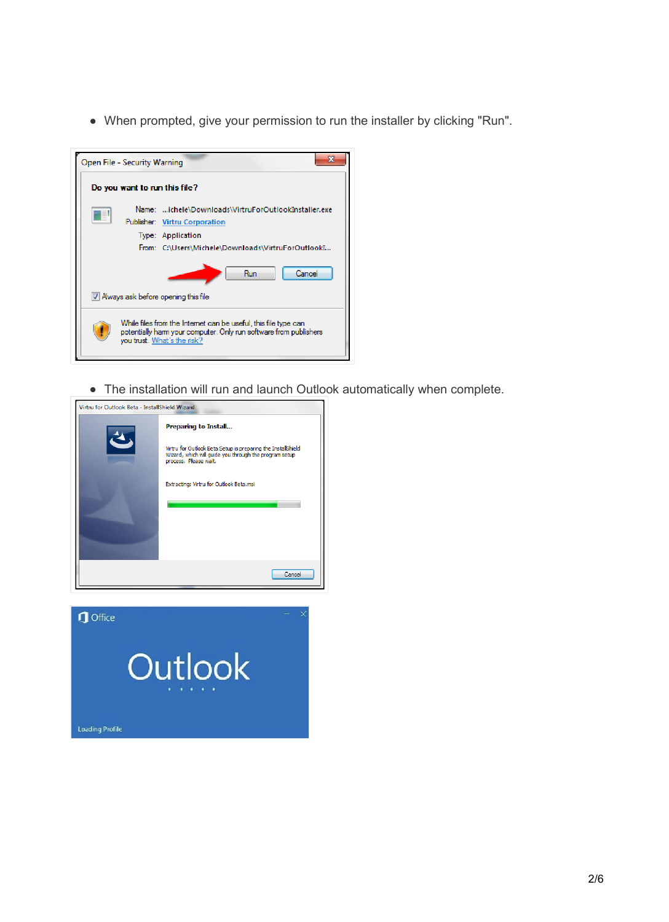When prompted, give your permission to run the installer by clicking "Run".

| 57<br>Open File - Security Warning                                                                                                                                 |                                                                                                                                                                  |  |
|--------------------------------------------------------------------------------------------------------------------------------------------------------------------|------------------------------------------------------------------------------------------------------------------------------------------------------------------|--|
|                                                                                                                                                                    | Do you want to run this file?                                                                                                                                    |  |
| ≣                                                                                                                                                                  | Name: ichele\Downloads\VirtruForOutlookInstaller.exe<br>Publisher: Virtru Corporation<br>Type: Application<br>From: C:\Users\Michele\Downloads\VirtruForOutlookI |  |
|                                                                                                                                                                    | Cancel<br>Run<br>V Always ask before opening this file                                                                                                           |  |
| While files from the Internet can be useful, this file type can<br>potentially ham your computer. Only run software from publishers<br>you trust. What's the risk? |                                                                                                                                                                  |  |

The installation will run and launch Outlook automatically when complete.

| Virtru for Outlook Beta - InstallShield Wizard |                                                                                                                                                 |
|------------------------------------------------|-------------------------------------------------------------------------------------------------------------------------------------------------|
|                                                | Preparing to Install                                                                                                                            |
|                                                | Virtru for Outlook Beta Setup is preparing the InstallShield<br>Wizard, which will guide you through the program setup<br>process. Please wait. |
|                                                | Extracting: Virtru for Outlook Beta.msi                                                                                                         |
|                                                |                                                                                                                                                 |
|                                                |                                                                                                                                                 |
|                                                |                                                                                                                                                 |
|                                                | Cancel                                                                                                                                          |

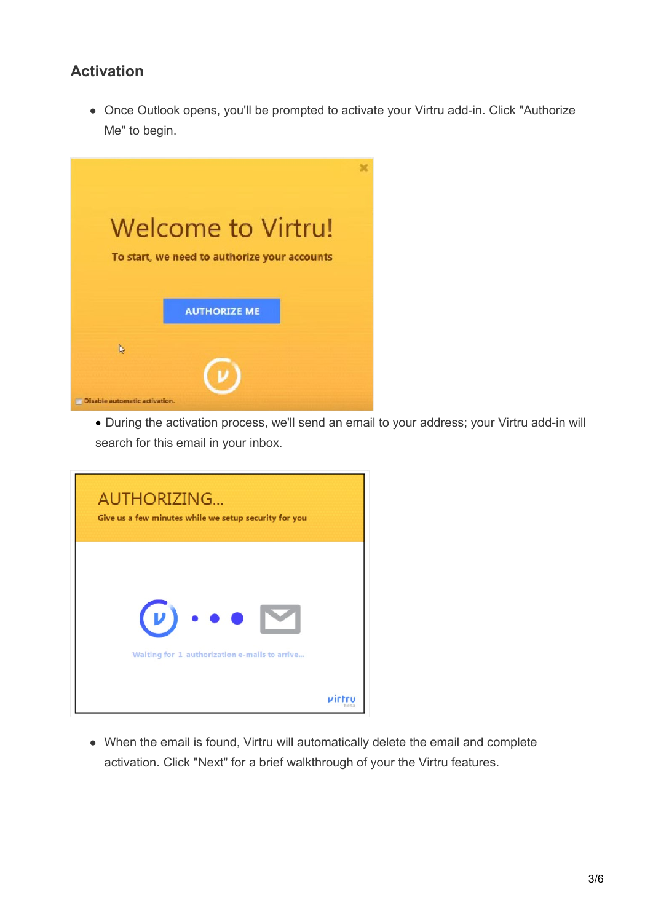## **Activation**

• Once Outlook opens, you'll be prompted to activate your Virtru add-in. Click "Authorize Me" to begin.



• During the activation process, we'll send an email to your address; your Virtru add-in will search for this email in your inbox.

| <b>AUTHORIZING</b><br>Give us a few minutes while we setup security for you    |
|--------------------------------------------------------------------------------|
| $(\nu) \cdot \bullet \bullet$<br>Waiting for 1 authorization e-mails to arrive |
|                                                                                |

When the email is found, Virtru will automatically delete the email and complete activation. Click "Next" for a brief walkthrough of your the Virtru features.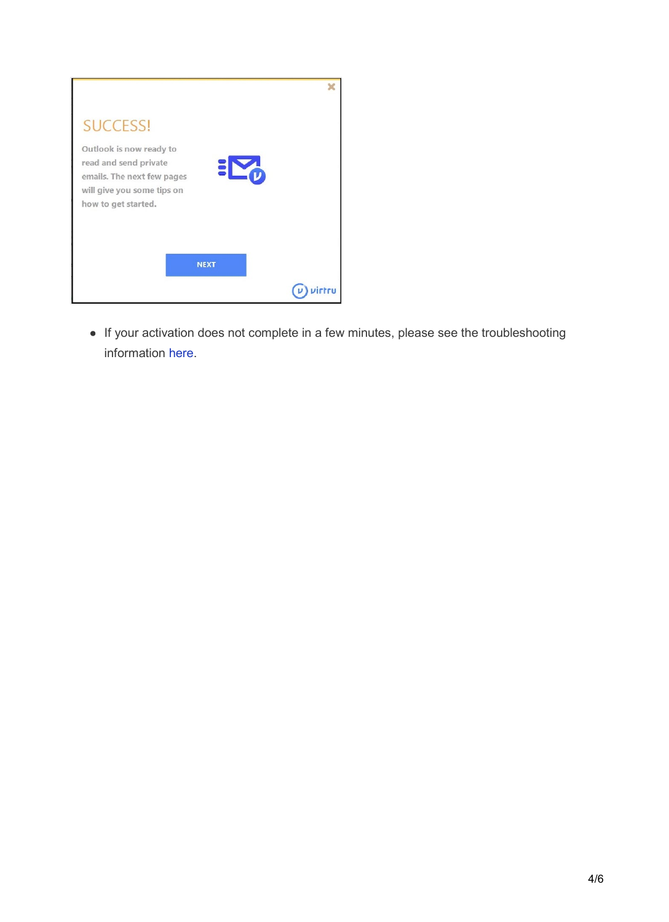| <b>SUCCESS!</b>                                          |             |  |
|----------------------------------------------------------|-------------|--|
| Outlook is now ready to                                  |             |  |
| read and send private                                    |             |  |
| emails. The next few pages<br>will give you some tips on |             |  |
| how to get started.                                      |             |  |
|                                                          |             |  |
|                                                          |             |  |
|                                                          | <b>NEXT</b> |  |
|                                                          |             |  |
|                                                          |             |  |

If your activation does not complete in a few minutes, please see the troubleshooting information [here.](https://support.virtru.com/hc/en-us/articles/115010395528)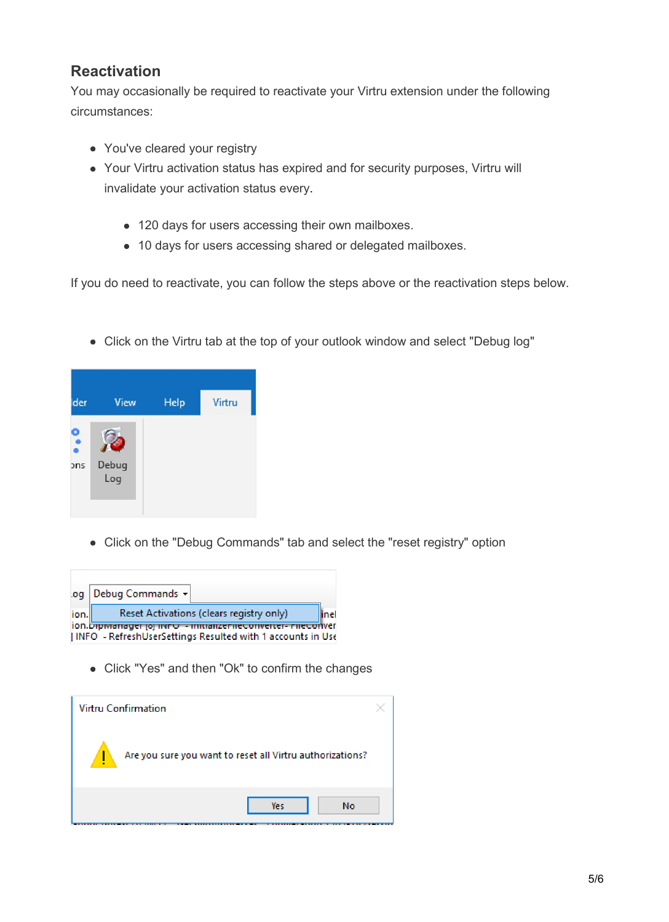## **Reactivation**

You may occasionally be required to reactivate your Virtru extension under the following circumstances:

- You've cleared your registry
- Your Virtru activation status has expired and for security purposes, Virtru will invalidate your activation status every.
	- 120 days for users accessing their own mailboxes.
	- 10 days for users accessing shared or delegated mailboxes.

If you do need to reactivate, you can follow the steps above or the reactivation steps below.

Click on the Virtru tab at the top of your outlook window and select "Debug log"

| der. | View         | Help | Virtru |
|------|--------------|------|--------|
| ons  | Debug<br>Log |      |        |

Click on the "Debug Commands" tab and select the "reset registry" option

| .og                                                        | Debug Commands -                                             |  |
|------------------------------------------------------------|--------------------------------------------------------------|--|
| ion.                                                       | Reset Activations (clears registry only)<br>linel            |  |
|                                                            | ion.Dipiwanager.joj.iwno - inidializenteconverter- nieconver |  |
| INFO - RefreshUserSettings Resulted with 1 accounts in Use |                                                              |  |

Click "Yes" and then "Ok" to confirm the changes

| Virtru Confirmation                                       |    |
|-----------------------------------------------------------|----|
| Are you sure you want to reset all Virtru authorizations? |    |
| Yes                                                       | No |